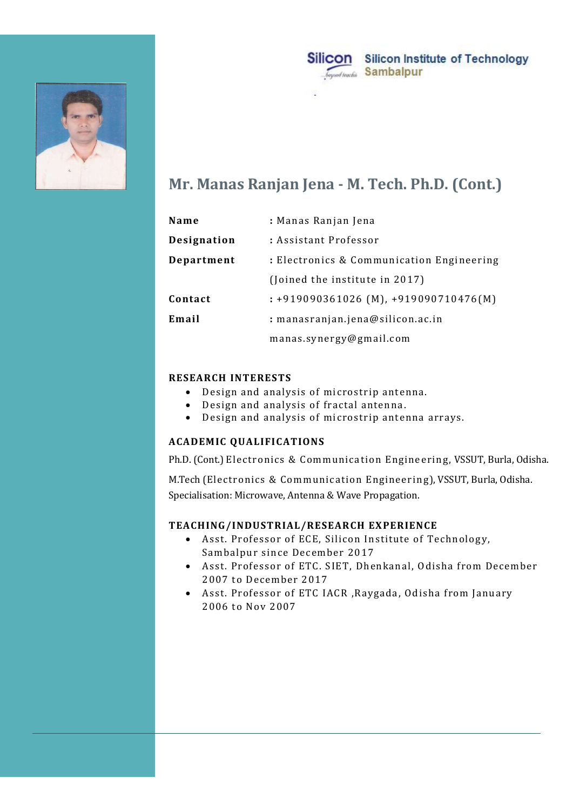



# Mr. Manas Ranjan Jena - M. Tech. Ph.D. (Cont.)

|                                             | Silicon<br><b>Silicon Institute of Technology</b><br>Sambalpur<br>beyond teachin                                                           |
|---------------------------------------------|--------------------------------------------------------------------------------------------------------------------------------------------|
|                                             | Mr. Manas Ranjan Jena - M. Tech. Ph.D. (Cont.)                                                                                             |
| Name                                        | : Manas Ranjan Jena                                                                                                                        |
| Designation                                 | : Assistant Professor                                                                                                                      |
| Department                                  | : Electronics & Communication Engineering                                                                                                  |
|                                             | (Joined the institute in 2017)                                                                                                             |
| Contact                                     | $: +919090361026$ (M), $+919090710476$ (M)                                                                                                 |
| Email                                       | : manasranjan.jena@silicon.ac.in                                                                                                           |
|                                             | manas.synergy@gmail.com                                                                                                                    |
| <b>RESEARCH INTERESTS</b><br>$\bullet$<br>٠ | Design and analysis of microstrip antenna.<br>Design and analysis of fractal antenna.<br>Design and analysis of microstrip antenna arrays. |
| <b>ACADEMIC QUALIFICATIONS</b>              |                                                                                                                                            |
|                                             | Ph.D. (Cont.) Electronics & Communication Engineering, VSSUT, Burla, Odisha.                                                               |
|                                             | M.Tech (Electronics & Communication Engineering), VSSUT, Burla, Odisha.<br>Specialisation: Microwave, Antenna & Wave Propagation.          |
|                                             |                                                                                                                                            |

### RESEARCH INTERESTS

- Design and analysis of microstrip antenna.
- Design and analysis of fractal antenna.
- 

## ACADEMIC QUALIFICATIONS

M.Tech (Electronics & Communication Engineering), VSSUT, Burla, Odisha. Specialisation: Microwave, Antenna & Wave Propagation. SEARCH INTERESTS<br>
• Design and analysis of microstrip antenna.<br>
• Design and analysis of microstrip antenna.<br>
• Design and analysis of microstrip antenna arrays.<br>
ADEMIC QUALIFICATIONS<br>
D. (Cont.) Electronics & Communicati

## TEACHING/INDUSTRIAL/RESEARCH EXPERIENCE

- Asst. Professor of ECE, Silicon Institute of Technology, Sambalpur since December 2017
- Asst. Professor of ETC. SIET, Dhenkanal, Odisha from December 2007 to December 2017
- 2006 to Nov 2007